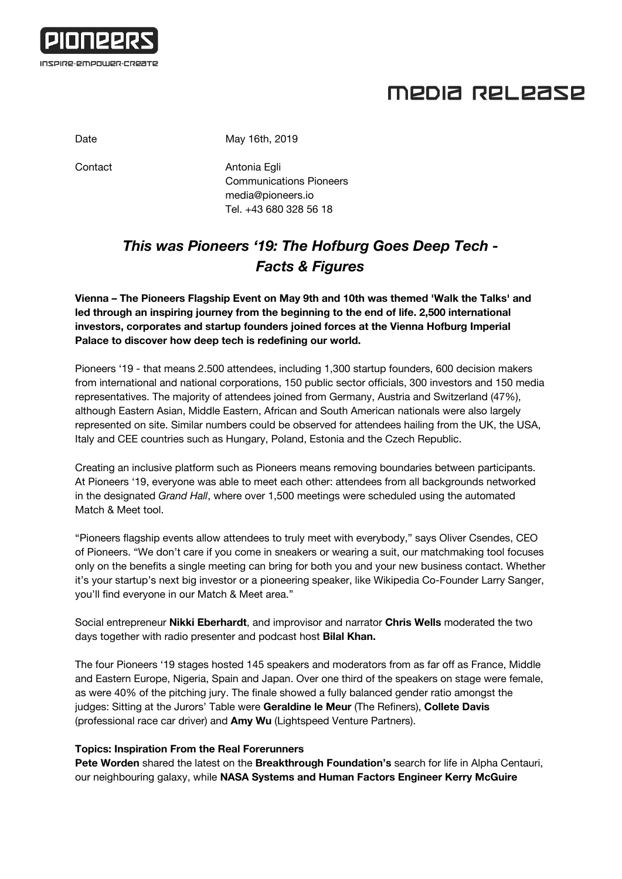

# MEDIA RELEASE

Date May 16th, 2019

Contact **Antonia Egli** Communications Pioneers [media@pioneers.io](mailto:media@pioneers.io) Tel. +43 680 328 56 18

#### *This was Pioneers '19: The Hofburg Goes Deep Tech - Facts & Figures*

**Vienna – The Pioneers Flagship Event on May 9th and 10th was themed 'Walk the Talks' and led through an inspiring journey from the beginning to the end of life. 2,500 international investors, corporates and startup founders joined forces at the Vienna Hofburg Imperial Palace to discover how deep tech is redefining our world.**

Pioneers '19 - that means 2.500 attendees, including 1,300 startup founders, 600 decision makers from international and national corporations, 150 public sector officials, 300 investors and 150 media representatives. The majority of attendees joined from Germany, Austria and Switzerland (47%), although Eastern Asian, Middle Eastern, African and South American nationals were also largely represented on site. Similar numbers could be observed for attendees hailing from the UK, the USA, Italy and CEE countries such as Hungary, Poland, Estonia and the Czech Republic.

Creating an inclusive platform such as Pioneers means removing boundaries between participants. At Pioneers '19, everyone was able to meet each other: attendees from all backgrounds networked in the designated *Grand Hall*, where over 1,500 meetings were scheduled using the automated Match & Meet tool.

"Pioneers flagship events allow attendees to truly meet with everybody," says Oliver Csendes, CEO of Pioneers. "We don't care if you come in sneakers or wearing a suit, our matchmaking tool focuses only on the benefits a single meeting can bring for both you and your new business contact. Whether it's your startup's next big investor or a pioneering speaker, like Wikipedia Co-Founder Larry Sanger, you'll find everyone in our Match & Meet area."

Social entrepreneur **Nikki Eberhardt**, and improvisor and narrator **Chris Wells** moderated the two days together with radio presenter and podcast host **Bilal Khan.**

The four Pioneers '19 stages hosted 145 speakers and moderators from as far off as France, Middle and Eastern Europe, Nigeria, Spain and Japan. Over one third of the speakers on stage were female, as were 40% of the pitching jury. The finale showed a fully balanced gender ratio amongst the judges: Sitting at the Jurors' Table were **Geraldine le Meur** (The Refiners), **Collete Davis** (professional race car driver) and **Amy Wu** (Lightspeed Venture Partners).

#### **Topics: Inspiration From the Real Forerunners**

**Pete Worden** shared the latest on the **Breakthrough Foundation's** search for life in Alpha Centauri, our neighbouring galaxy, while **NASA Systems and Human Factors Engineer Kerry McGuire**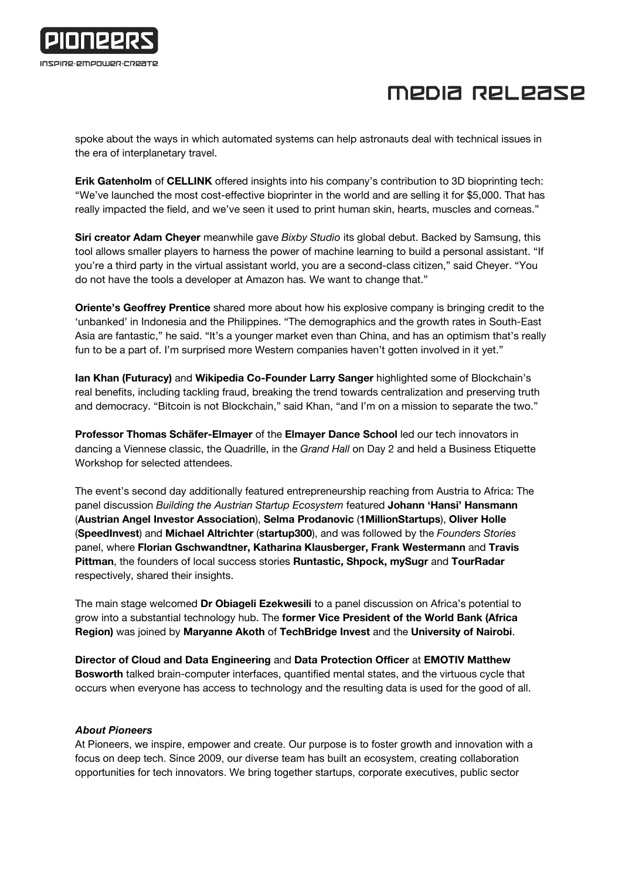

# MEDIA RELEASE

spoke about the ways in which automated systems can help astronauts deal with technical issues in the era of interplanetary travel.

**Erik Gatenholm** of **CELLINK** offered insights into his company's contribution to 3D bioprinting tech: "We've launched the most cost-effective bioprinter in the world and are selling it for \$5,000. That has really impacted the field, and we've seen it used to print human skin, hearts, muscles and corneas."

**Siri creator Adam Cheyer** meanwhile gave *Bixby Studio* its global debut. Backed by Samsung, this tool allows smaller players to harness the power of machine learning to build a personal assistant. "If you're a third party in the virtual assistant world, you are a second-class citizen," said Cheyer. "You do not have the tools a developer at Amazon has. We want to change that."

**Oriente's Geoffrey Prentice** shared more about how his explosive company is bringing credit to the 'unbanked' in Indonesia and the Philippines. "The demographics and the growth rates in South-East Asia are fantastic," he said. "It's a younger market even than China, and has an optimism that's really fun to be a part of. I'm surprised more Western companies haven't gotten involved in it yet."

**Ian Khan (Futuracy)** and **Wikipedia Co-Founder Larry Sanger** highlighted some of Blockchain's real benefits, including tackling fraud, breaking the trend towards centralization and preserving truth and democracy. "Bitcoin is not Blockchain," said Khan, "and I'm on a mission to separate the two."

**Professor Thomas Schäfer-Elmayer** of the **Elmayer Dance School** led our tech innovators in dancing a Viennese classic, the Quadrille, in the *Grand Hall* on Day 2 and held a Business Etiquette Workshop for selected attendees.

The event's second day additionally featured entrepreneurship reaching from Austria to Africa: The panel discussion *Building the Austrian Startup Ecosystem* featured **Johann 'Hansi' Hansmann** (**Austrian Angel Investor Association**), **Selma Prodanovic** (**1MillionStartups**), **Oliver Holle** (**SpeedInvest**) and **Michael Altrichter** (**startup300**), and was followed by the *Founders Stories* panel, where **Florian Gschwandtner, Katharina Klausberger, Frank Westermann** and **Travis Pittman**, the founders of local success stories **Runtastic, Shpock, mySugr** and **TourRadar** respectively, shared their insights.

The main stage welcomed **Dr Obiageli Ezekwesili** to a panel discussion on Africa's potential to grow into a substantial technology hub. The **former Vice President of the World Bank (Africa Region)** was joined by **Maryanne Akoth** of **TechBridge Invest** and the **University of Nairobi**.

**Director of Cloud and Data Engineering** and **Data Protection Officer** at **EMOTIV Matthew Bosworth** talked brain-computer interfaces, quantified mental states, and the virtuous cycle that occurs when everyone has access to technology and the resulting data is used for the good of all.

#### *About Pioneers*

At Pioneers, we inspire, empower and create. Our purpose is to foster growth and innovation with a focus on deep tech. Since 2009, our diverse team has built an ecosystem, creating collaboration opportunities for tech innovators. We bring together startups, corporate executives, public sector